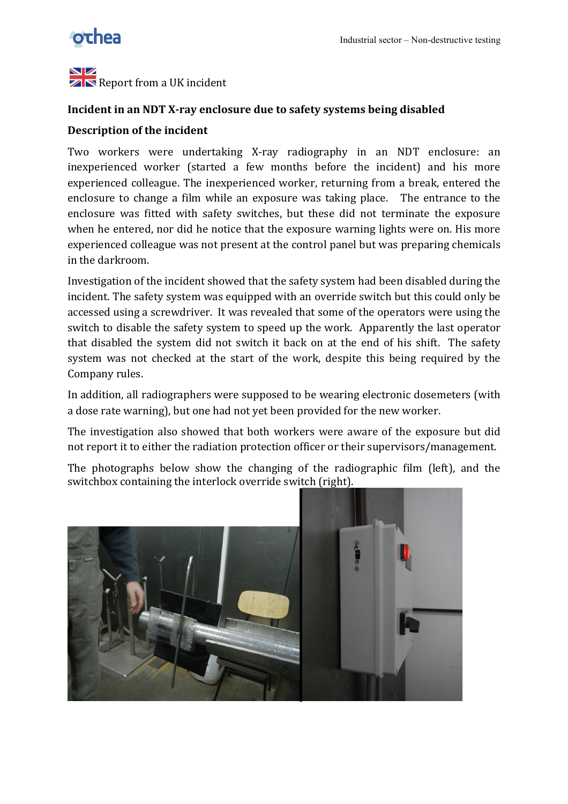

NZ **ZN** Report from a UK incident

## **Incident in an NDT X-ray enclosure due to safety systems being disabled**

## **Description of the incident**

Two workers were undertaking X-ray radiography in an NDT enclosure: an inexperienced worker (started a few months before the incident) and his more experienced colleague. The inexperienced worker, returning from a break, entered the enclosure to change a film while an exposure was taking place. The entrance to the enclosure was fitted with safety switches, but these did not terminate the exposure when he entered, nor did he notice that the exposure warning lights were on. His more experienced colleague was not present at the control panel but was preparing chemicals in the darkroom.

Investigation of the incident showed that the safety system had been disabled during the incident. The safety system was equipped with an override switch but this could only be accessed using a screwdriver. It was revealed that some of the operators were using the switch to disable the safety system to speed up the work. Apparently the last operator that disabled the system did not switch it back on at the end of his shift. The safety system was not checked at the start of the work, despite this being required by the Company rules.

In addition, all radiographers were supposed to be wearing electronic dosemeters (with a dose rate warning), but one had not yet been provided for the new worker.

The investigation also showed that both workers were aware of the exposure but did not report it to either the radiation protection officer or their supervisors/management.

The photographs' below show the changing of the radiographic film (left), and the switchbox containing the interlock override switch (right).